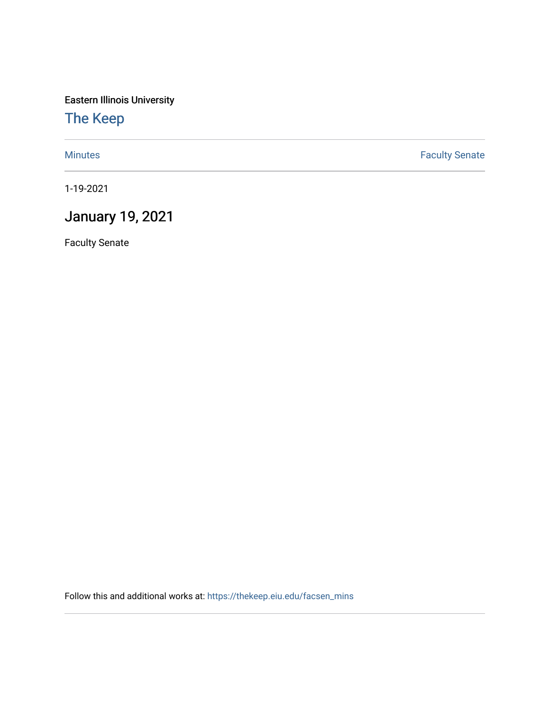Eastern Illinois University

[The Keep](https://thekeep.eiu.edu/) 

[Minutes](https://thekeep.eiu.edu/facsen_mins) **Faculty Senate** 

1-19-2021

## January 19, 2021

Faculty Senate

Follow this and additional works at: [https://thekeep.eiu.edu/facsen\\_mins](https://thekeep.eiu.edu/facsen_mins?utm_source=thekeep.eiu.edu%2Ffacsen_mins%2F1145&utm_medium=PDF&utm_campaign=PDFCoverPages)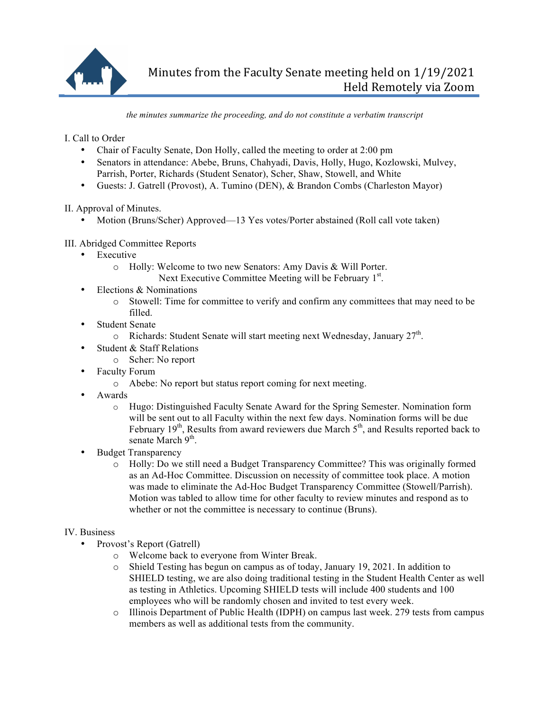

*the minutes summarize the proceeding, and do not constitute a verbatim transcript*

I. Call to Order

- Chair of Faculty Senate, Don Holly, called the meeting to order at 2:00 pm
- Senators in attendance: Abebe, Bruns, Chahyadi, Davis, Holly, Hugo, Kozlowski, Mulvey, Parrish, Porter, Richards (Student Senator), Scher, Shaw, Stowell, and White
- Guests: J. Gatrell (Provost), A. Tumino (DEN), & Brandon Combs (Charleston Mayor)

II. Approval of Minutes.

• Motion (Bruns/Scher) Approved—13 Yes votes/Porter abstained (Roll call vote taken)

## III. Abridged Committee Reports

- Executive
	- o Holly: Welcome to two new Senators: Amy Davis & Will Porter. Next Executive Committee Meeting will be February 1<sup>st</sup>.
- Elections & Nominations
	- o Stowell: Time for committee to verify and confirm any committees that may need to be filled.
- Student Senate
	- $\circ$  Richards: Student Senate will start meeting next Wednesday, January 27<sup>th</sup>.
- Student & Staff Relations
	- o Scher: No report
- Faculty Forum
	- o Abebe: No report but status report coming for next meeting.
- Awards
	- o Hugo: Distinguished Faculty Senate Award for the Spring Semester. Nomination form will be sent out to all Faculty within the next few days. Nomination forms will be due February  $19<sup>th</sup>$ , Results from award reviewers due March  $5<sup>th</sup>$ , and Results reported back to senate March 9<sup>th</sup>.
- Budget Transparency
	- o Holly: Do we still need a Budget Transparency Committee? This was originally formed as an Ad-Hoc Committee. Discussion on necessity of committee took place. A motion was made to eliminate the Ad-Hoc Budget Transparency Committee (Stowell/Parrish). Motion was tabled to allow time for other faculty to review minutes and respond as to whether or not the committee is necessary to continue (Bruns).

## IV. Business

- Provost's Report (Gatrell)
	- o Welcome back to everyone from Winter Break.
	- o Shield Testing has begun on campus as of today, January 19, 2021. In addition to SHIELD testing, we are also doing traditional testing in the Student Health Center as well as testing in Athletics. Upcoming SHIELD tests will include 400 students and 100 employees who will be randomly chosen and invited to test every week.
	- o Illinois Department of Public Health (IDPH) on campus last week. 279 tests from campus members as well as additional tests from the community.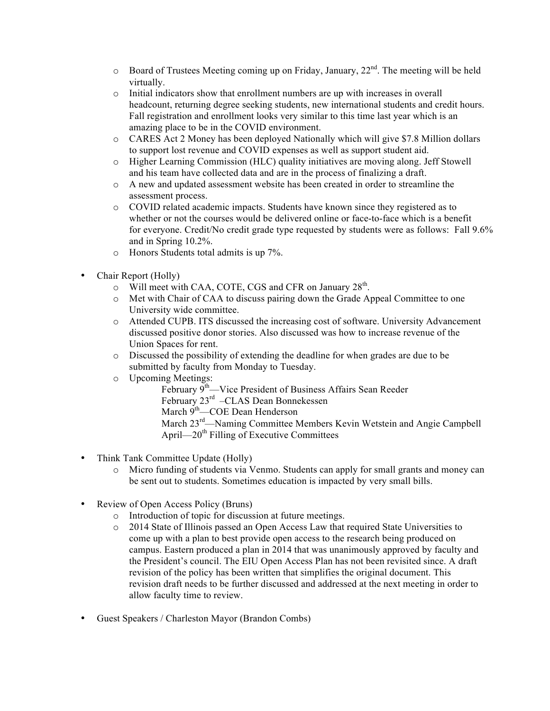- $\circ$  Board of Trustees Meeting coming up on Friday, January,  $22^{nd}$ . The meeting will be held virtually.
- $\circ$  Initial indicators show that enrollment numbers are up with increases in overall headcount, returning degree seeking students, new international students and credit hours. Fall registration and enrollment looks very similar to this time last year which is an amazing place to be in the COVID environment.
- o CARES Act 2 Money has been deployed Nationally which will give \$7.8 Million dollars to support lost revenue and COVID expenses as well as support student aid.
- o Higher Learning Commission (HLC) quality initiatives are moving along. Jeff Stowell and his team have collected data and are in the process of finalizing a draft.
- o A new and updated assessment website has been created in order to streamline the assessment process.
- o COVID related academic impacts. Students have known since they registered as to whether or not the courses would be delivered online or face-to-face which is a benefit for everyone. Credit/No credit grade type requested by students were as follows: Fall 9.6% and in Spring 10.2%.
- o Honors Students total admits is up 7%.
- Chair Report (Holly)
	- $\circ$  Will meet with CAA, COTE, CGS and CFR on January 28<sup>th</sup>.
	- o Met with Chair of CAA to discuss pairing down the Grade Appeal Committee to one University wide committee.
	- o Attended CUPB. ITS discussed the increasing cost of software. University Advancement discussed positive donor stories. Also discussed was how to increase revenue of the Union Spaces for rent.
	- o Discussed the possibility of extending the deadline for when grades are due to be submitted by faculty from Monday to Tuesday.
	- o Upcoming Meetings:
		- February 9<sup>th</sup>—Vice President of Business Affairs Sean Reeder February 23rd –CLAS Dean Bonnekessen March 9<sup>th</sup>—COE Dean Henderson March 23<sup>rd</sup>—Naming Committee Members Kevin Wetstein and Angie Campbell April— $20^{th}$  Filling of Executive Committees
- Think Tank Committee Update (Holly)
	- o Micro funding of students via Venmo. Students can apply for small grants and money can be sent out to students. Sometimes education is impacted by very small bills.
- Review of Open Access Policy (Bruns)
	- o Introduction of topic for discussion at future meetings.
	- o 2014 State of Illinois passed an Open Access Law that required State Universities to come up with a plan to best provide open access to the research being produced on campus. Eastern produced a plan in 2014 that was unanimously approved by faculty and the President's council. The EIU Open Access Plan has not been revisited since. A draft revision of the policy has been written that simplifies the original document. This revision draft needs to be further discussed and addressed at the next meeting in order to allow faculty time to review.
- Guest Speakers / Charleston Mayor (Brandon Combs)